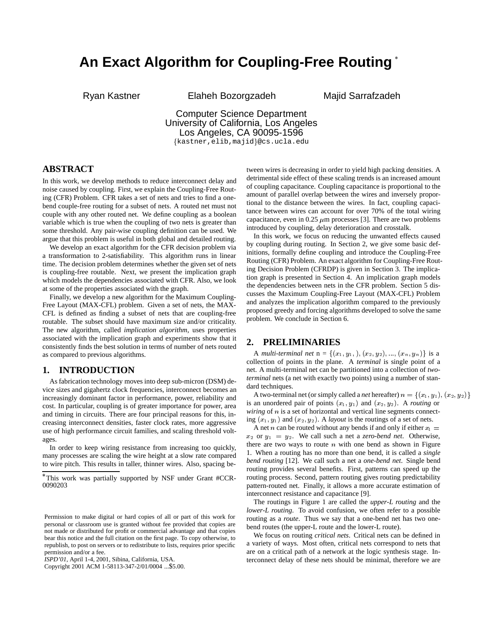# **An Exact Algorithm for Coupling-Free Routing**

Ryan Kastner Elaheh Bozorgzadeh Majid Sarrafzadeh

# Computer Science Department University of California, Los Angeles Los Angeles, CA 90095-1596 {kastner, elib, majid}@cs.ucla.edu

**ABSTRACT**

In this work, we develop methods to reduce interconnect delay and noise caused by coupling. First, we explain the Coupling-Free Routing (CFR) Problem. CFR takes a set of nets and tries to find a onebend couple-free routing for a subset of nets. A routed net must not couple with any other routed net. We define coupling as a boolean variable which is true when the coupling of two nets is greater than some threshold. Any pair-wise coupling definition can be used. We argue that this problem is useful in both global and detailed routing.

We develop an exact algorithm for the CFR decision problem via a transformation to 2-satisfiability. This algorithm runs in linear time. The decision problem determines whether the given set of nets is coupling-free routable. Next, we present the implication graph which models the dependencies associated with CFR. Also, we look at some of the properties associated with the graph.

Finally, we develop a new algorithm for the Maximum Coupling-Free Layout (MAX-CFL) problem. Given a set of nets, the MAX-CFL is defined as finding a subset of nets that are coupling-free routable. The subset should have maximum size and/or criticality. The new algorithm, called *implication algorithm*, uses properties associated with the implication graph and experiments show that it consistently finds the best solution in terms of number of nets routed as compared to previous algorithms.

# **1. INTRODUCTION**

As fabrication technology moves into deep sub-micron (DSM) device sizes and gigahertz clock frequencies, interconnect becomes an increasingly dominant factor in performance, power, reliability and cost. In particular, coupling is of greater importance for power, area and timing in circuits. There are four principal reasons for this, increasing interconnect densities, faster clock rates, more aggressive use of high performance circuit families, and scaling threshold voltages.

In order to keep wiring resistance from increasing too quickly, many processes are scaling the wire height at a slow rate compared to wire pitch. This results in taller, thinner wires. Also, spacing be-

Copyright 2001 ACM 1-58113-347-2/01/0004 ...\$5.00.

tween wires is decreasing in order to yield high packing densities. A detrimental side effect of these scaling trends is an increased amount of coupling capacitance. Coupling capacitance is proportional to the amount of parallel overlap between the wires and inversely proportional to the distance between the wires. In fact, coupling capacitance between wires can account for over 70% of the total wiring capacitance, even in 0.25  $\mu$ m processes [3]. There are two problems introduced by coupling, delay deterioration and crosstalk.

In this work, we focus on reducing the unwanted effects caused by coupling during routing. In Section 2, we give some basic definitions, formally define coupling and introduce the Coupling-Free Routing (CFR) Problem. An exact algorithm for Coupling-Free Routing Decision Problem (CFRDP) is given in Section 3. The implication graph is presented in Section 4. An implication graph models the dependencies between nets in the CFR problem. Section 5 discusses the Maximum Coupling-Free Layout (MAX-CFL) Problem and analyzes the implication algorithm compared to the previously proposed greedy and forcing algorithms developed to solve the same problem. We conclude in Section 6.

#### **2. PRELIMINARIES**

A *multi-terminal net*  $n = \{(x_1, y_1), (x_2, y_2), ..., (x_n, y_n)\}\$ is a collection of points in the plane. A *terminal* is single point of a net. A multi-terminal net can be partitioned into a collection of *twoterminal* nets (a net with exactly two points) using a number of standard techniques.

A two-terminal net (or simply called a *net* hereafter)  $n = \{(x_1, y_1), (x_2, y_2)\}\;$ is an unordered pair of points  $(x_1, y_1)$  and  $(x_2, y_2)$ . A *routing* or *wiring* of *n* is a set of horizontal and vertical line segments connecting  $(x_1, y_1)$  and  $(x_2, y_2)$ . A *layout* is the routings of a set of nets.

A net *n* can be routed without any bends if and only if either  $x_1 =$  $x_2$  or  $y_1 = y_2$ . We call such a net a *zero-bend net*. Otherwise, there are two ways to route  $n$  with one bend as shown in Figure 1. When a routing has no more than one bend, it is called a *single bend routing* [12]. We call such a net a *one-bend net*. Single bend routing provides several benefits. First, patterns can speed up the routing process. Second, pattern routing gives routing predictability pattern-routed net. Finally, it allows a more accurate estimation of interconnect resistance and capacitance [9].

The routings in Figure 1 are called the *upper-L routing* and the *lower-L routing*. To avoid confusion, we often refer to a possible routing as a *route*. Thus we say that a one-bend net has two onebend routes (the upper-L route and the lower-L route).

We focus on routing *critical nets*. Critical nets can be defined in a variety of ways. Most often, critical nets correspond to nets that are on a critical path of a network at the logic synthesis stage. Interconnect delay of these nets should be minimal, therefore we are

This work was partially supported by NSF under Grant #CCR-0090203

Permission to make digital or hard copies of all or part of this work for personal or classroom use is granted without fee provided that copies are not made or distributed for profit or commercial advantage and that copies bear this notice and the full citation on the first page. To copy otherwise, to republish, to post on servers or to redistribute to lists, requires prior specific permission and/or a fee.

*ISPD'01,* April 1-4, 2001, Sibina, California, USA.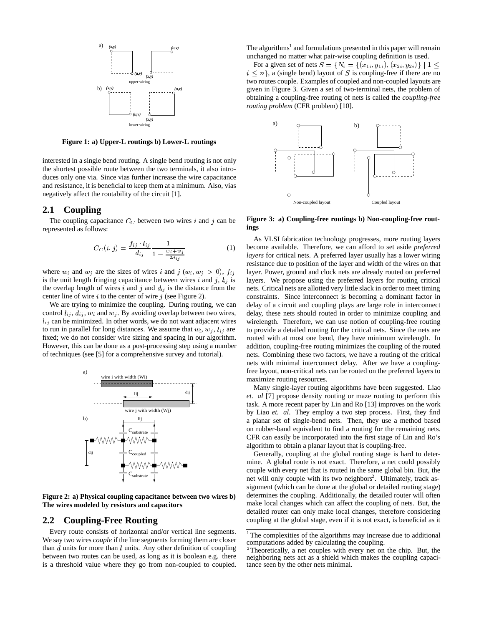

**Figure 1: a) Upper-L routings b) Lower-L routings**

interested in a single bend routing. A single bend routing is not only the shortest possible route between the two terminals, it also introduces only one via. Since vias further increase the wire capacitance and resistance, it is beneficial to keep them at a minimum. Also, vias negatively affect the routability of the circuit [1].

#### **2.1 Coupling**

The coupling capacitance  $C_C$  between two wires i and j can be represented as follows:

$$
C_C(i,j) = \frac{f_{ij} \cdot l_{ij}}{d_{ij}} \frac{1}{1 - \frac{w_i + w_j}{2d_{ij}}}
$$
(1)

where  $w_i$  and  $w_j$  are the sizes of wires i and j  $(w_i, w_j > 0)$ ,  $f_{ij}$ is the unit length fringing capacitance between wires i and j,  $l_{ij}$  is the overlap length of wires i and j and  $d_{ij}$  is the distance from the center line of wire  $i$  to the center of wire  $j$  (see Figure 2).

We are trying to minimize the coupling. During routing, we can control  $l_{ij}$ ,  $d_{ij}$ ,  $w_i$  and  $w_j$ . By avoiding overlap between two wires,  $l_{ij}$  can be minimized. In other words, we do not want adjacent wires to run in parallel for long distances. We assume that  $w_i$ ,  $w_j$ ,  $l_{ij}$  are fixed; we do not consider wire sizing and spacing in our algorithm. However, this can be done as a post-processing step using a number of techniques (see [5] for a comprehensive survey and tutorial).



**Figure 2: a) Physical coupling capacitance between two wires b) The wires modeled by resistors and capacitors**

#### **2.2 Coupling-Free Routing**

Every route consists of horizontal and/or vertical line segments. We say two wires *couple* if the line segments forming them are closer than  $d$  units for more than  $l$  units. Any other definition of coupling between two routes can be used, as long as it is boolean e.g. there is a threshold value where they go from non-coupled to coupled.

The algorithms<sup>1</sup> and formulations presented in this paper will remain unchanged no matter what pair-wise coupling definition is used.

For a given set of nets  $S = \{N_i = \{(x_{1i}, y_{1i}), (x_{2i}, y_{2i})\} \mid 1 \leq$  $i \leq n$ , a (single bend) layout of S is coupling-free if there are no two routes couple. Examples of coupled and non-coupled layouts are given in Figure 3. Given a set of two-terminal nets, the problem of obtaining a coupling-free routing of nets is called the *coupling-free routing problem* (CFR problem) [10].



**Figure 3: a) Coupling-free routings b) Non-coupling-free routings**

As VLSI fabrication technology progresses, more routing layers become available. Therefore, we can afford to set aside *preferred layers* for critical nets. A preferred layer usually has a lower wiring resistance due to position of the layer and width of the wires on that layer. Power, ground and clock nets are already routed on preferred layers. We propose using the preferred layers for routing critical nets. Critical nets are allotted very little slack in order to meet timing constraints. Since interconnect is becoming a dominant factor in delay of a circuit and coupling plays are large role in interconnect delay, these nets should routed in order to minimize coupling and wirelength. Therefore, we can use notion of coupling-free routing to provide a detailed routing for the critical nets. Since the nets are routed with at most one bend, they have minimum wirelength. In addition, coupling-free routing minimizes the coupling of the routed nets. Combining these two factors, we have a routing of the critical nets with minimal interconnect delay. After we have a couplingfree layout, non-critical nets can be routed on the preferred layers to maximize routing resources.

Many single-layer routing algorithms have been suggested. Liao *et. al* [7] propose density routing or maze routing to perform this task. A more recent paper by Lin and Ro [13] improves on the work by Liao *et. al*. They employ a two step process. First, they find a planar set of single-bend nets. Then, they use a method based on rubber-band equivalent to find a routing for the remaining nets. CFR can easily be incorporated into the first stage of Lin and Ro's algorithm to obtain a planar layout that is coupling-free.

Generally, coupling at the global routing stage is hard to determine. A global route is not exact. Therefore, a net could possibly couple with every net that is routed in the same global bin. But, the net will only couple with its two neighbors<sup>2</sup>. Ultimately, track assignment (which can be done at the global or detailed routing stage) determines the coupling. Additionally, the detailed router will often make local changes which can affect the coupling of nets. But, the detailed router can only make local changes, therefore considering coupling at the global stage, even if it is not exact, is beneficial as it

<sup>&</sup>lt;sup>1</sup>The complexities of the algorithms may increase due to additional computations added by calculating the coupling.

<sup>&</sup>lt;sup>2</sup>Theoretically, a net couples with every net on the chip. But, the neighboring nets act as a shield which makes the coupling capacitance seen by the other nets minimal.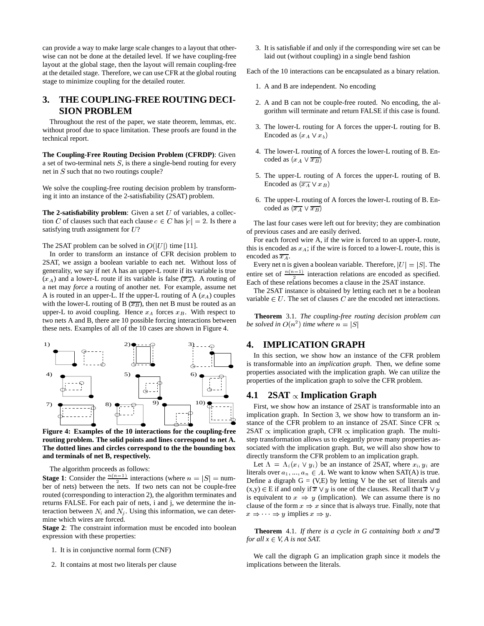can provide a way to make large scale changes to a layout that otherwise can not be done at the detailed level. If we have coupling-free layout at the global stage, then the layout will remain coupling-free at the detailed stage. Therefore, we can use CFR at the global routing stage to minimize coupling for the detailed router.

# **3. THE COUPLING-FREE ROUTING DECI-SION PROBLEM**

Throughout the rest of the paper, we state theorem, lemmas, etc. without proof due to space limitation. These proofs are found in the technical report.

**The Coupling-Free Routing Decision Problem (CFRDP)**: Given a set of two-terminal nets  $S$ , is there a single-bend routing for every net in S such that no two routings couple?

We solve the coupling-free routing decision problem by transforming it into an instance of the 2-satisfiability (2SAT) problem.

**The 2-satisfiability problem**: Given a set  $U$  of variables, a collection C of clauses such that each clause  $c \in C$  has  $|c| = 2$ . Is there a satisfying truth assignment for U?

The 2SAT problem can be solved in  $O(|U|)$  time [11].

In order to transform an instance of CFR decision problem to 2SAT, we assign a boolean variable to each net. Without loss of generality, we say if net A has an upper-L route if its variable is true  $(x_A)$  and a lower-L route if its variable is false  $(\overline{x_A})$ . A routing of a net may *force* a routing of another net. For example, assume net A is routed in an upper-L. If the upper-L routing of  $A (x_A)$  couples with the lower-L routing of B  $(\overline{x_B})$ , then net B must be routed as an upper-L to avoid coupling. Hence  $x_A$  forces  $x_B$ . With respect to two nets A and B, there are 10 possible forcing interactions between these nets. Examples of all of the 10 cases are shown in Figure 4.



**Figure 4: Examples of the 10 interactions for the coupling-free routing problem. The solid points and lines correspond to net A. The dotted lines and circles correspond to the the bounding box and terminals of net B, respectively.**

The algorithm proceeds as follows:

**Stage 1**: Consider the  $\frac{n(n-1)}{2}$  interactions (where  $n = |S| =$  num-<br>Defin ber of nets) between the nets. If two nets can not be couple-free routed (corresponding to interaction 2), the algorithm terminates and returns FALSE. For each pair of nets, i and j, we determine the interaction between  $N_i$  and  $N_j$ . Using this information, we can determine which wires are forced.

**Stage 2**: The constraint information must be encoded into boolean expression with these properties:

- 1. It is in conjunctive normal form (CNF)
- 2. It contains at most two literals per clause

3. It is satisfiable if and only if the corresponding wire set can be laid out (without coupling) in a single bend fashion

Each of the 10 interactions can be encapsulated as a binary relation.

- 1. A and B are independent. No encoding
- 2. A and B can not be couple-free routed. No encoding, the algorithm will terminate and return FALSE if this case is found.
- 3. The lower-L routing for A forces the upper-L routing for B. Encoded as  $(x_A \vee x_b)$
- 4. The lower-L routing of A forces the lower-L routing of B. Encoded as  $(x_A \vee \overline{x_B})$
- 5. The upper-L routing of A forces the upper-L routing of B. Encoded as  $(\overline{x_A} \vee x_B)$
- 6. The upper-L routing of A forces the lower-L routing of B. Encoded as  $(\overline{x_A} \vee \overline{x_B})$

The last four cases were left out for brevity; they are combination of previous cases and are easily derived.

For each forced wire A, if the wire is forced to an upper-L route, this is encoded as  $x_A$ ; if the wire is forced to a lower-L route, this is encoded as  $\overline{x_A}$ .

Every net n is given a boolean variable. Therefore,  $|U| = |S|$ . The entire set of  $\frac{n(n-1)}{2}$  interaction relations are encoded as specified. <sup>2</sup> Each of these relations becomes a clause in the 2SAT instance.

The 2SAT instance is obtained by letting each net n be a boolean variable  $\in U$ . The set of clauses C are the encoded net interactions.

**Theorem** 3.1. *The coupling-free routing decision problem can be solved in*  $O(n^2)$  *time where*  $n = |S|$ 

# **4. IMPLICATION GRAPH**

In this section, we show how an instance of the CFR problem is transformable into an *implication graph*. Then, we define some properties associated with the implication graph. We can utilize the properties of the implication graph to solve the CFR problem.

### **4.1**  $2SAT \propto$  Implication Graph

First, we show how an instance of 2SAT is transformable into an implication graph. In Section 3, we show how to transform an instance of the CFR problem to an instance of 2SAT. Since CFR  $\propto$ 2SAT  $\propto$  implication graph, CFR  $\propto$  implication graph. The multistep transformation allows us to elegantly prove many properties associated with the implication graph. But, we will also show how to directly transform the CFR problem to an implication graph.

Let  $\Lambda = \Lambda_i(x_i \vee y_i)$  be an instance of 2SAT, where  $x_i, y_i$  are literals over  $a_1, ..., a_n \in A$ . We want to know when SAT(A) is true. Define a digraph  $G = (V,E)$  by letting V be the set of literals and  $(x,y) \in E$  if and only if  $\overline{x} \vee y$  is one of the clauses. Recall that  $\overline{x} \vee y$ is equivalent to  $x \Rightarrow y$  (implication). We can assume there is no clause of the form  $x \Rightarrow x$  since that is always true. Finally, note that  $x \Rightarrow y$  implies  $x \Rightarrow y$ .

**Theorem** 4.1. *If there is a cycle in G containing both x and*  $\overline{x}$ *for all*  $x \in V$ , *A is not SAT*.

We call the digraph G an implication graph since it models the implications between the literals.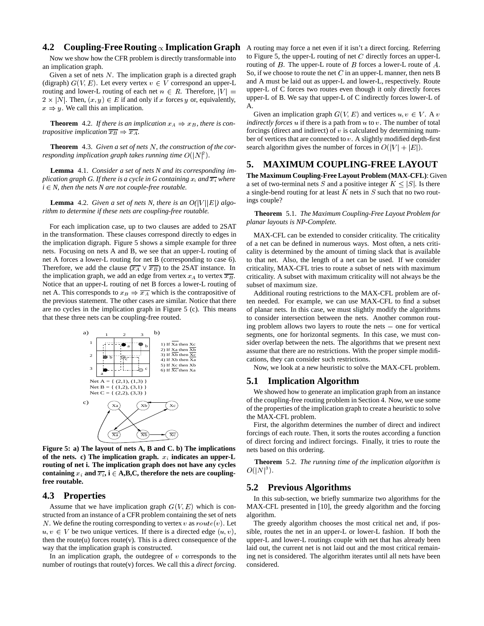#### **4.2 Coupling-Free Routing**  $\propto$  Implication Graph

Now we show how the CFR problem is directly transformable into an implication graph.

Given a set of nets  $N$ . The implication graph is a directed graph (digraph)  $G(V, E)$ . Let every vertex  $v \in V$  correspond an upper-L routing and lower-L routing of each net  $n \in R$ . Therefore,  $|V|$  =  $2 \times |N|$ . Then,  $(x, y) \in E$  if and only if x forces y or, equivalently,  $x \Rightarrow y$ . We call this an implication.

**Theorem** 4.2. If there is an implication  $x_A \Rightarrow x_B$ , there is con*trapositive implication*  $\overline{x_B} \Rightarrow \overline{x_A}$ .

**Theorem** 4.3. *Given a set of nets* <sup>N</sup>*, the construction of the corresponding implication graph takes running time*  $O(|N|^2)$ .

**Lemma** 4.1. *Consider a set of nets N and its corresponding implication graph G. If there is a cycle in G containing*  $x_i$  *and*  $\overline{x_i}$  *where*  $i \in N$ , then the nets N are not couple-free routable.

**Lemma** 4.2. *Given a set of nets N, there is an*  $O(|V||E|)$  *algorithm to determine if these nets are coupling-free routable.*

For each implication case, up to two clauses are added to 2SAT in the transformation. These clauses correspond directly to edges in the implication digraph. Figure 5 shows a simple example for three nets. Focusing on nets A and B, we see that an upper-L routing of net A forces a lower-L routing for net B (corresponding to case 6). Therefore, we add the clause  $(\overline{x_A} \vee \overline{x_B})$  to the 2SAT instance. In the implication graph, we add an edge from vertex  $x_A$  to vertex  $\overline{x_B}$ . Notice that an upper-L routing of net B forces a lower-L routing of net A. This corresponds to  $x_B \Rightarrow \overline{x_A}$  which is the contrapositive of the previous statement. The other cases are similar. Notice that there are no cycles in the implication graph in Figure 5 (c). This means that these three nets can be coupling-free routed.



**Figure 5: a) The layout of nets A, B and C. b) The implications** of the nets. c) The implication graph.  $x_i$  indicates an upper-L **routing of net i. The implication graph does not have any cycles** containing  $x_i$  and  $\overline{x_i}$ ,  $i \in A, B, C$ , therefore the nets are coupling**free routable.**

#### **4.3 Properties**

Assume that we have implication graph  $G(V, E)$  which is constructed from an instance of a CFR problem containing the set of nets N. We define the routing corresponding to vertex v as  $route(v)$ . Let  $u, v \in V$  be two unique vertices. If there is a directed edge  $(u, v)$ , then the route $(u)$  forces route $(v)$ . This is a direct consequence of the way that the implication graph is constructed.

In an implication graph, the outdegree of  $v$  corresponds to the number of routings that route(v) forces. We call this a *direct forcing*.

A routing may force a net even if it isn't a direct forcing. Referring to Figure 5, the upper-L routing of net  $C$  directly forces an upper-L routing of  $B$ . The upper-L route of  $B$  forces a lower-L route of  $A$ . So, if we choose to route the net  $C$  in an upper-L manner, then nets B and A must be laid out as upper-L and lower-L, respectively. Route upper-L of C forces two routes even though it only directly forces upper-L of B. We say that upper-L of C indirectly forces lower-L of A.

Given an implication graph  $G(V, E)$  and vertices  $u, v \in V$ . A v *indirectly forces* u if there is a path from u to v. The number of total forcings (direct and indirect) of  $v$  is calculated by determining number of vertices that are connected to  $v$ . A slightly modified depth-first search algorithm gives the number of forces in  $O(|V| + |E|)$ .

# **5. MAXIMUM COUPLING-FREE LAYOUT**

**The Maximum Coupling-Free Layout Problem (MAX-CFL)**: Given a set of two-terminal nets S and a positive integer  $K \leq |S|$ . Is there a single-bend routing for at least  $K$  nets in  $S$  such that no two routings couple?

**Theorem** 5.1. *The Maximum Coupling-Free Layout Problem for planar layouts is NP-Complete.*

MAX-CFL can be extended to consider criticality. The criticality of a net can be defined in numerous ways. Most often, a nets criticality is determined by the amount of timing slack that is available to that net. Also, the length of a net can be used. If we consider criticality, MAX-CFL tries to route a subset of nets with maximum criticality. A subset with maximum criticality will not always be the subset of maximum size.

Additional routing restrictions to the MAX-CFL problem are often needed. For example, we can use MAX-CFL to find a subset of planar nets. In this case, we must slightly modify the algorithms to consider intersection between the nets. Another common routing problem allows two layers to route the nets  $-$  one for vertical segments, one for horizontal segments. In this case, we must consider overlap between the nets. The algorithms that we present next assume that there are no restrictions. With the proper simple modifications, they can consider such restrictions.

Now, we look at a new heuristic to solve the MAX-CFL problem.

#### **5.1 Implication Algorithm**

We showed how to generate an implication graph from an instance of the coupling-free routing problem in Section 4. Now, we use some of the properties of the implication graph to create a heuristic to solve the MAX-CFL problem.

First, the algorithm determines the number of direct and indirect forcings of each route. Then, it sorts the routes according a function of direct forcing and indirect forcings. Finally, it tries to route the nets based on this ordering.

**Theorem** 5.2. *The running time of the implication algorithm is*  $O(|N|^3)$ .

#### **5.2 Previous Algorithms**

In this sub-section, we briefly summarize two algorithms for the MAX-CFL presented in [10], the greedy algorithm and the forcing algorithm.

The greedy algorithm chooses the most critical net and, if possible, routes the net in an upper-L or lower-L fashion. If both the upper-L and lower-L routings couple with net that has already been laid out, the current net is not laid out and the most critical remaining net is considered. The algorithm iterates until all nets have been considered.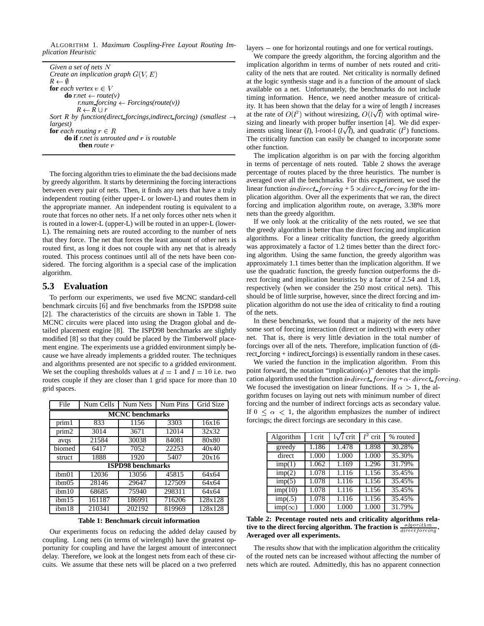ALGORITHM 1. *Maximum Coupling-Free Layout Routing Implication Heuristic*

| Given a set of nets $N$                                                       | implication alg    |
|-------------------------------------------------------------------------------|--------------------|
| Create an implication graph $G(V, E)$                                         | cality of the ne   |
| $R \leftarrow \emptyset$                                                      | at the logic syn   |
| <b>for</b> each vertex $v \in V$                                              | available on a     |
| <b>do</b> r.net $\leftarrow$ route(v)                                         | timing informa     |
| r.num forcing $\leftarrow$ Forcings(route(v))                                 | ity. It has been   |
| $R \leftarrow R \cup r$                                                       |                    |
| Sort R by function(direct_forcings, indirect_forcing) (smallest $\rightarrow$ | at the rate of $C$ |
| <i>largest</i> )                                                              | sizing and line    |
| <b>for</b> each routing $r \in R$                                             | iments using li    |
| <b>do if</b> rnet is unrouted and $r$ is routable                             | The criticality    |
| <b>then</b> route r                                                           | other function     |

The forcing algorithm tries to eliminate the the bad decisions made by greedy algorithm. It starts by determining the forcing interactions between every pair of nets. Then, it finds any nets that have a truly independent routing (either upper-L or lower-L) and routes them in the appropriate manner. An independent routing is equivalent to a route that forces no other nets. If a net only forces other nets when it is routed in a lower-L (upper-L) will be routed in an upper-L (lower-L). The remaining nets are routed according to the number of nets that they force. The net that forces the least amount of other nets is routed first, as long it does not couple with any net that is already routed. This process continues until all of the nets have been considered. The forcing algorithm is a special case of the implication algorithm.

#### **5.3 Evaluation**

To perform our experiments, we used five MCNC standard-cell benchmark circuits [6] and five benchmarks from the ISPD98 suite [2]. The characteristics of the circuits are shown in Table 1. The MCNC circuits were placed into using the Dragon global and detailed placement engine [8]. The ISPD98 benchmarks are slightly modified [8] so that they could be placed by the Timberwolf placement engine. The experiments use a gridded environment simply because we have already implements a gridded router. The techniques and algorithms presented are not specific to a gridded environment. We set the coupling thresholds values at  $d = 1$  and  $l = 10$  i.e. two routes couple if they are closer than 1 grid space for more than 10 grid spaces.

| File                     | Num Cells | Num Nets | Num Pins | Grid Size |  |  |  |
|--------------------------|-----------|----------|----------|-----------|--|--|--|
| <b>MCNC</b> benchmarks   |           |          |          |           |  |  |  |
| prim1                    | 833       | 1156     | 3303     | 16x16     |  |  |  |
| prim2                    | 3014      | 3671     | 12014    | 32x32     |  |  |  |
| avqs                     | 21584     | 30038    | 84081    | 80x80     |  |  |  |
| biomed                   | 6417      | 7052     | 22253    | 40x40     |  |  |  |
| struct                   | 1888      | 1920     | 5407     | 20x16     |  |  |  |
| <b>ISPD98</b> benchmarks |           |          |          |           |  |  |  |
| ibm <sub>01</sub>        | 12036     | 13056    | 45815    | 64x64     |  |  |  |
| ibm05                    | 28146     | 29647    | 127509   | 64x64     |  |  |  |
| ibm10                    | 68685     | 75940    | 298311   | 64x64     |  |  |  |
| ibm15                    | 161187    | 186991   | 716206   | 128x128   |  |  |  |
| ibm18                    | 210341    | 202192   | 819969   | 128x128   |  |  |  |

**Table 1: Benchmark circuit information**

Our experiments focus on reducing the added delay caused by coupling. Long nets (in terms of wirelength) have the greatest opportunity for coupling and have the largest amount of interconnect delay. Therefore, we look at the longest nets from each of these circuits. We assume that these nets will be placed on a two preferred

layers – one for horizontal routings and one for vertical routings.

We compare the greedy algorithm, the forcing algorithm and the implication algorithm in terms of number of nets routed and criticality of the nets that are routed. Net criticality is normally defined at the logic synthesis stage and is a function of the amount of slack available on a net. Unfortunately, the benchmarks do not include timing information. Hence, we need another measure of criticality. It has been shown that the delay for a wire of length l increases at the rate of  $O(l^2)$  without wiresizing,  $O(l\sqrt{l})$  with optimal wiresizing and linearly with proper buffer insertion [4]. We did experiments using linear (*l*), l-root-l ( $l\sqrt{l}$ ), and quadratic ( $l^2$ ) functions. The criticality function can easily be changed to incorporate some other function.

The implication algorithm is on par with the forcing algorithm in terms of percentage of nets routed. Table 2 shows the average percentage of routes placed by the three heuristics. The number is averaged over all the benchmarks. For this experiment, we used the linear function *indirect\_forcing* + 5  $\times$  *direct\_forcing* for the implication algorithm. Over all the experiments that we ran, the direct forcing and implication algorithm route, on average, 3.38% more nets than the greedy algorithm.

If we only look at the criticality of the nets routed, we see that the greedy algorithm is better than the direct forcing and implication algorithms. For a linear criticality function, the greedy algorithm was approximately a factor of 1.2 times better than the direct forcing algorithm. Using the same function, the greedy algorithm was approximately 1.1 times better than the implication algorithm. If we use the quadratic function, the greedy function outperforms the direct forcing and implication heuristics by a factor of 2.54 and 1.8, respectively (when we consider the 250 most critical nets). This should be of little surprise, however, since the direct forcing and implication algorithm do not use the idea of criticality to find a routing of the nets.

In these benchmarks, we found that a majority of the nets have some sort of forcing interaction (direct or indirect) with every other net. That is, there is very little deviation in the total number of forcings over all of the nets. Therefore, implication function of (direct forcing + indirect forcings) is essentially random in these cases.

We varied the function in the implication algorithm. From this point forward, the notation "implication( $\alpha$ )" denotes that the implication algorithm used the function indirect forcing +  $\alpha$  direct forcing. We focused the investigation on linear functions. If  $\alpha > 1$ , the algorithm focuses on laying out nets with minimum number of direct forcing and the number of indirect forcings acts as secondary value. If  $0 \leq \alpha < 1$ , the algorithm emphasizes the number of indirect forcings; the direct forcings are secondary in this case.

| Algorithm                  | l crit       | $1\sqrt{l}$ crit | $\overline{l^2}$ crit | % routed |
|----------------------------|--------------|------------------|-----------------------|----------|
| greedy                     | <b>1.186</b> | 1.478            | 1.898                 | 30.28%   |
| direct                     | 1.000        | 1.000            | 1.000                 | 35.30%   |
| $\overline{\text{imp}}(1)$ | 1.062        | 1.169            | 1.296                 | 31.79%   |
| imp(2)                     | 1.078        | 1.116            | 1.156                 | 35.45%   |
| imp(5)                     | 1.078        | 1.116            | 1.156                 | 35.45%   |
| imp(10)                    | 1.078        | 1.116            | 1.156                 | 35.45%   |
| imp(.5)                    | 1.078        | 1.116            | 1.156                 | 35.45%   |
| $imp(\infty)$              | 1.000        | 1.000            | 1.000                 | 31.79%   |

**Table 2: Pecentage routed nets and criticality algorithms relative to the direct forcing algorithm. The fraction is**  $\frac{algorithm}{directiong}$ **. Averaged over all experiments.**

The results show that with the implication algorithm the criticality of the routed nets can be increased without affecting the number of nets which are routed. Admittedly, this has no apparent connection